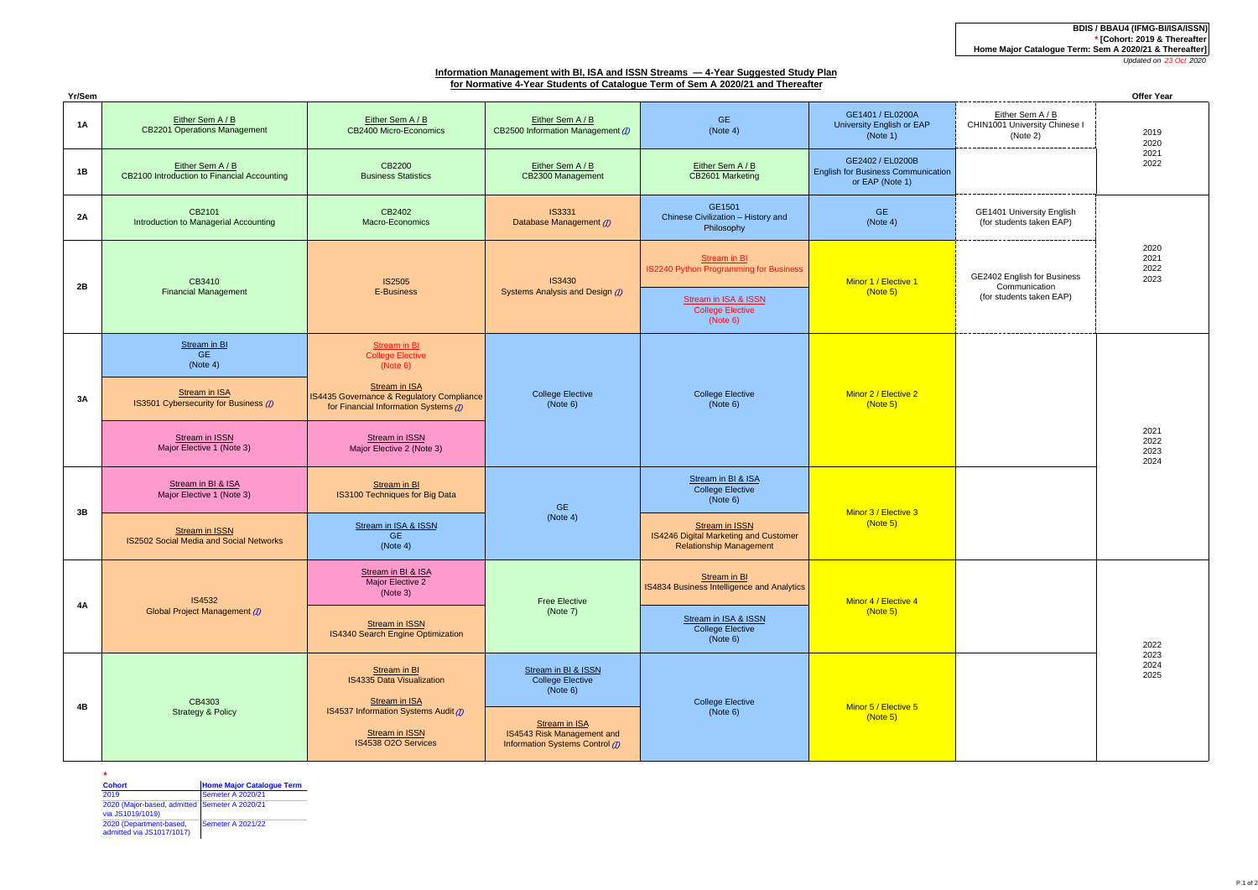**BDIS / BBAU4 (IFMG-BI/ISA/ISSN) \* [Cohort: 2019 & Thereafter Home Major Catalogue Term: Sem A 2020/21 & Thereafter]**

*Updated on 23 Oct 2020*

# **Information Management with BI, ISA and ISSN Streams — 4-Year Suggested Study Plan for Normative 4-Year Students of Catalogue Term of Sem A 2020/21 and Thereafter**

| Yr/Sem    |                                                                  |                                                                                                                                                                                               |                                                               |                                                                                           | Offer Year                                                                       |                                                                          |                              |
|-----------|------------------------------------------------------------------|-----------------------------------------------------------------------------------------------------------------------------------------------------------------------------------------------|---------------------------------------------------------------|-------------------------------------------------------------------------------------------|----------------------------------------------------------------------------------|--------------------------------------------------------------------------|------------------------------|
| 1A        | Either Sem A / B<br><b>CB2201 Operations Management</b>          | Either Sem A / B<br>CB2400 Micro-Economics                                                                                                                                                    | Either Sem A / B<br>CB2500 Information Management (7)         | GE.<br>(Note 4)                                                                           | GE1401 / EL0200A<br>University English or EAP<br>(Note 1)                        | Either Sem A / B<br>CHIN1001 University Chinese I<br>(Note 2)            | 2019<br>2020                 |
| 1B        | Either Sem A / B<br>CB2100 Introduction to Financial Accounting  | CB2200<br><b>Business Statistics</b>                                                                                                                                                          | Either Sem A / B<br>CB2300 Management                         | Either Sem A / B<br>CB2601 Marketing                                                      | GE2402 / EL0200B<br><b>English for Business Communication</b><br>or EAP (Note 1) |                                                                          | 2021<br>2022                 |
| <b>2A</b> | CB2101<br>Introduction to Managerial Accounting                  | CB2402<br>Macro-Economics                                                                                                                                                                     | <b>IS3331</b><br>Database Management (D)                      | GE1501<br>Chinese Civilization - History and<br>Philosophy                                | <b>GE</b><br>(Note 4)                                                            | GE1401 University English<br>(for students taken EAP)                    |                              |
| 2B        | CB3410<br><b>Financial Management</b>                            | <b>IS2505</b><br>E-Business                                                                                                                                                                   | <b>IS3430</b><br>Systems Analysis and Design (D)              | Stream in BI<br><b>IS2240 Python Programming for Business</b>                             | Minor 1 / Elective 1<br>(Note 5)                                                 | GE2402 English for Business<br>Communication<br>(for students taken EAP) | 2020<br>2021<br>2022<br>2023 |
|           |                                                                  |                                                                                                                                                                                               |                                                               | Stream in ISA & ISSN<br><b>College Elective</b><br>(Note 6)                               |                                                                                  |                                                                          |                              |
| 3A        | Stream in BI<br><b>GE</b><br>(Note 4)                            | <b>Stream in BI</b><br><b>College Elective</b><br>(Note 6)                                                                                                                                    | <b>College Elective</b><br>(Note 6)                           |                                                                                           | Minor 2 / Elective 2<br>(Note 5)                                                 |                                                                          | 2021<br>2022<br>2023<br>2024 |
|           | <b>Stream in ISA</b><br>IS3501 Cybersecurity for Business (1)    | Stream in ISA<br>IS4435 Governance & Regulatory Compliance<br>for Financial Information Systems (7)                                                                                           |                                                               | <b>College Elective</b><br>(Note 6)                                                       |                                                                                  |                                                                          |                              |
|           | Stream in ISSN<br>Major Elective 1 (Note 3)                      | <b>Stream in ISSN</b><br>Major Elective 2 (Note 3)                                                                                                                                            |                                                               |                                                                                           |                                                                                  |                                                                          |                              |
|           | Stream in BI & ISA<br>Major Elective 1 (Note 3)                  | Stream in BI<br>IS3100 Techniques for Big Data                                                                                                                                                | <b>GE</b><br>(Note 4)                                         | Stream in BI & ISA<br><b>College Elective</b><br>(Note 6)                                 | Minor 3 / Elective 3<br>(Note 5)                                                 |                                                                          |                              |
| 3B        | <b>Stream in ISSN</b><br>IS2502 Social Media and Social Networks | Stream in ISA & ISSN<br><b>GE</b><br>(Note 4)                                                                                                                                                 |                                                               | Stream in ISSN<br>IS4246 Digital Marketing and Customer<br><b>Relationship Management</b> |                                                                                  |                                                                          |                              |
| 4A        | IS4532<br>Global Project Management (1)                          | Stream in BI & ISA<br>Major Elective 2<br>(Note 3)                                                                                                                                            | <b>Free Elective</b><br>(Note 7)                              | Stream in BI<br>IS4834 Business Intelligence and Analytics                                | Minor 4 / Elective 4<br>(Note 5)                                                 |                                                                          |                              |
|           |                                                                  | <b>Stream in ISSN</b><br>IS4340 Search Engine Optimization                                                                                                                                    |                                                               | Stream in ISA & ISSN<br><b>College Elective</b><br>(Note 6)                               |                                                                                  |                                                                          | 2022<br>2023<br>2024<br>2025 |
| <b>4B</b> | CB4303<br><b>Strategy &amp; Policy</b>                           | Stream in BI<br><b>IS4335 Data Visualization</b><br>(Note 6)<br><b>Stream in ISA</b><br>IS4537 Information Systems Audit (1)<br>Stream in ISA<br><b>Stream in ISSN</b><br>IS4538 O2O Services | Stream in BI & ISSN<br><b>College Elective</b>                |                                                                                           | Minor 5 / Elective 5<br>(Note 5)                                                 |                                                                          |                              |
|           |                                                                  |                                                                                                                                                                                               | IS4543 Risk Management and<br>Information Systems Control (1) | <b>College Elective</b><br>(Note 6)                                                       |                                                                                  |                                                                          |                              |

| Cohort                                                            | <b>Home Major Catalogue Term</b> |  |
|-------------------------------------------------------------------|----------------------------------|--|
| 2019                                                              | <b>Semeter A 2020/21</b>         |  |
| 2020 (Major-based, admitted Semeter A 2020/21<br>via JS1019/1019) |                                  |  |
| 2020 (Department-based,<br>admitted via JS1017/1017)              | Semeter A 2021/22                |  |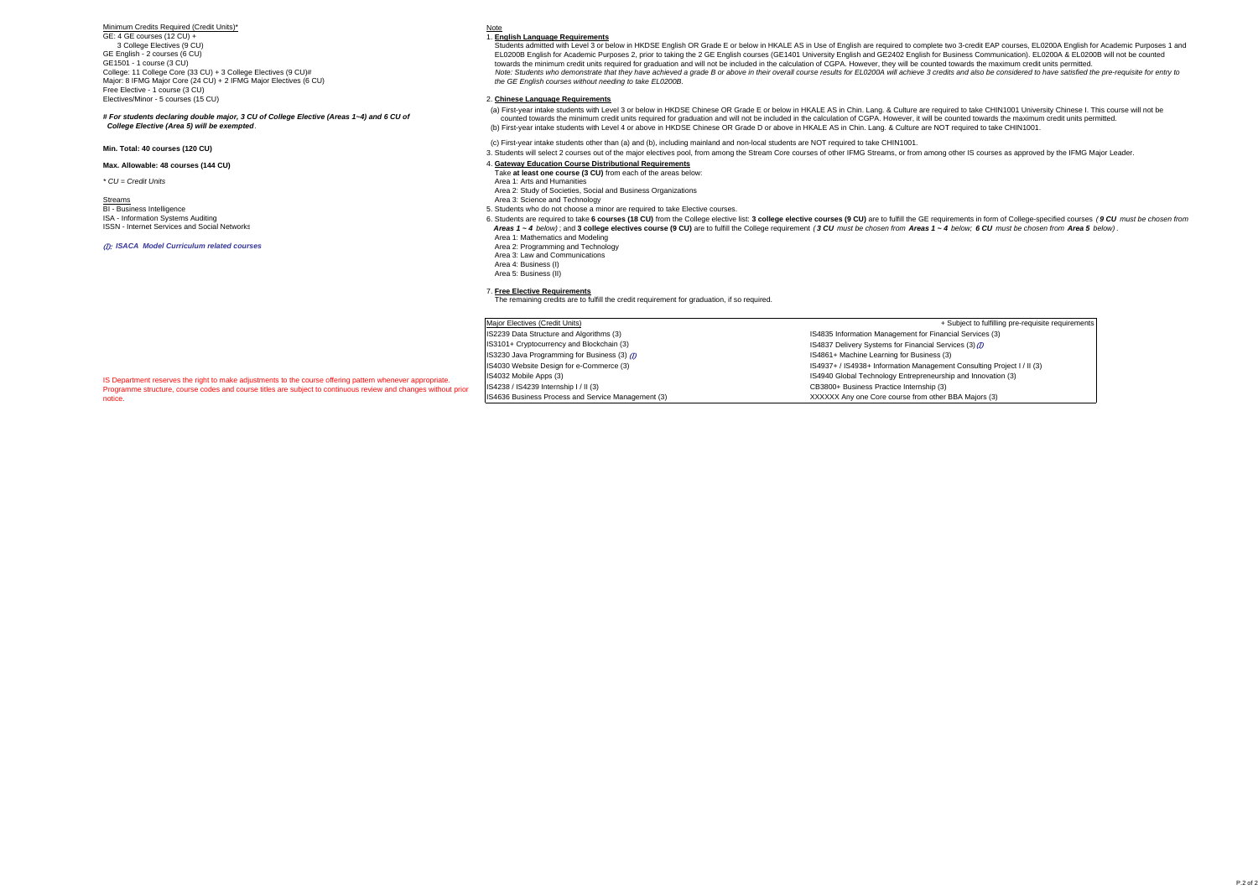Minimum Credits Required (Credit Units)\*

GE: 4 GE courses (12 CU) + 3 College Electives (9 CU) GE English - 2 courses (6 CU) GE1501 - 1 course (3 CU) College: 11 College Core (33 CU) + 3 College Electives (9 CU)# Major: 8 IFMG Major Core (24 CU) + 2 IFMG Major Electives (6 CU) Free Elective - 1 course (3 CU) Electives/Minor - 5 courses (15 CU)

*# For students declaring double major, 3 CU of College Elective (Areas 1~4) and 6 CU of College Elective (Area 5) will be exempted.*

**Max. Allowable: 48 courses (144 CU)**

Streams **Area 3: Science and Technology Area 3: Science and Technology BI - Business Intelligence** ISA - Information Systems Auditing ISSN - Internet Services and Social Networks

#### (I): *ISACA Model Curriculum related courses*



1. **English Language Requirements**

 Students admitted with Level 3 or below in HKDSE English OR Grade E or below in HKALE AS in Use of English are required to complete two 3-credit EAP courses, EL0200A English for Academic Purposes 1 and EL0200B English for Academic Purposes 2, prior to taking the 2 GE English courses (GE1401 University English and GE2402 English for Business Communication). EL0200A & EL0200B will not be counted towards the minimum credit units required for graduation and will not be included in the calculation of CGPA. However, they will be counted towards the maximum credit units permitted.  *Note: Students who demonstrate that they have achieved a grade B or above in their overall course results for EL0200A will achieve 3 credits and also be considered to have satisfied the pre-requisite for entry to the GE English courses without needing to take EL0200B.*

### 2. **Chinese Language Requirements**

 (a) First-year intake students with Level 3 or below in HKDSE Chinese OR Grade E or below in HKALE AS in Chin. Lang. & Culture are required to take CHIN1001 University Chinese I. This course will not be counted towards the minimum credit units required for graduation and will not be included in the calculation of CGPA. However, it will be counted towards the maximum credit units permitted. (b) First-year intake students with Level 4 or above in HKDSE Chinese OR Grade D or above in HKALE AS in Chin. Lang. & Culture are NOT required to take CHIN1001.

(c) First-year intake students other than (a) and (b), including mainland and non-local students are NOT required to take CHIN1001.

3. Students will select 2 courses out of the major electives pool, from among the Stream Core courses of other IFMG Streams, or from among other IS courses as approved by the IFMG Major Leader.

### 4. **Gateway Education Course Distributional Requirements**

- *\* CU = Credit Units* Area 1: Arts and Humanities Take **at least one course (3 CU)** from each of the areas below:
	- Area 2: Study of Societies, Social and Business Organizations
	-
	- 5. Students who do not choose a minor are required to take Elective courses.
	-

6. Students are required to take 6 courses (18 CU) from the College elective list: 3 college elective courses (9 CU) are to fulfill the GE requirements in form of College-specified courses (9 CU must be chosen from Areas 1 ~ 4 below): and 3 college electives course (9 CU) are to fulfill the College requirement (3 CU) must be chosen from Areas 1 ~ 4 below: 6 CU must be chosen from Areas 1 ~ 4 below: 6 CU must be chosen from Areas 1 ~

- Area 1: Mathematics and Modeling
- Area 2: Programming and Technology
- Area 3: Law and CommunicationsArea 4: Business (I)
- Area 5: Business (II)

7. **Free Elective Requirements** The remaining credits are to fulfill the credit requirement for graduation, if so required.

| Major Electives (Credit Units)                    | + Subject to fulfilling pre-requisite requirements                     |
|---------------------------------------------------|------------------------------------------------------------------------|
| S2239 Data Structure and Algorithms (3)           | IS4835 Information Management for Financial Services (3)               |
| IS3101+ Cryptocurrency and Blockchain (3)         | IS4837 Delivery Systems for Financial Services (3) (7)                 |
| S3230 Java Programming for Business (3) (7)       | IS4861+ Machine Learning for Business (3)                              |
| S4030 Website Design for e-Commerce (3)           | IS4937+ / IS4938+ Information Management Consulting Project I / II (3) |
| IS4032 Mobile Apps (3)                            | IS4940 Global Technology Entrepreneurship and Innovation (3)           |
| S4238 / IS4239 Internship I / II (3)              | CB3800+ Business Practice Internship (3)                               |
| S4636 Business Process and Service Management (3) | XXXXXX Any one Core course from other BBA Majors (3)                   |

IS Department reserves the right to make adjustments to the course offering pattern whenever appropriate Programme structure, course codes and course titles are subject to continuous review and changes without prior notice.